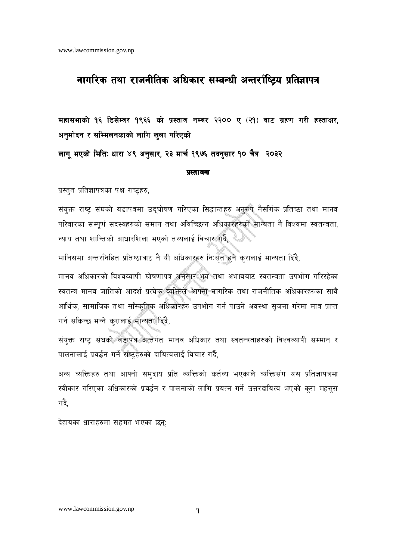### नागरिक तथा राजनीतिक अधिकार सम्बन्धी अन्तर्राष्ट्रिय प्रतिज्ञापत्र

महासभाको १६ डिसेम्वर १९६६ को प्रस्ताव नम्बर २२०० ए (२१) वाट ग्रहण गरी हस्ताक्षर, अनुमोदन र सम्मिलनकाको लागि खुला गरिएको

लागू भएको मिति: धारा ४९ अनुसार, २३ मार्च १९७६ तदनुसार १० चैत्र २०३२

### प्रस्तावना

प्रस्तुत प्रतिज्ञापत्रका पक्ष राष्ट्रहरु,

संयुक्त राष्ट्र संघको बडापत्रमा उद्घोषण गरिएका सिद्धान्तहरु अनुरुप नैसर्गिक प्रतिष्ठा तथा मानव परिवारका सम्पूर्ण सदस्यहरुको समान तथा अविच्छिन्न अधिकारहरुको मान्यता नै विश्वमा स्वतन्त्रता, न्याय तथा शान्तिको आधारशिला भएको तथ्यलाई विचार गर्दै,

मानिसमा अन्तरनिहित प्रतिष्ठाबाट नै यी अधिकारहरु निःसृत हुने कुरालाई मान्यता दिंदै,

मानव अधिकारको विश्वव्यापी घोषणापत्र अनुसार भय तथा अभावबाट स्वतन्त्रता उपभोग गरिरहेका स्वतन्त्र मानव जातिको आदर्श प्रत्येक व्यक्तिले आफ्ना नागरिक तथा राजनीतिक अधिकारहरुका साथै आर्थिक, सामाजिक तथा साँस्कृतिक अधिकारहरु उपभोग गर्न पाउने अवस्था सृजना गरेमा मात्र प्राप्त गर्न सकिन्छ भन्ने करालाई मान्यता दिंदै,

संयुक्त राष्ट्र संघको बडापत्र अन्तर्गत मानव अधिकार तथा स्वतन्त्रताहरुको विश्वव्यापी सम्मान र पालनालाई प्रवर्द्धन गर्ने राष्टहरुको दायित्वलाई विचार गर्दै,

अन्य व्यक्तिहरु तथा आफ्नो समुदाय प्रति व्यक्तिको कर्तव्य भएकाले व्यक्तिसंग यस प्रतिज्ञापत्रमा स्वीकार गरिएका अधिकारको प्रवर्द्धन र पालनाको लागि प्रयत्न गर्ने उत्तरदायित्व भएको कुरा महसुस गर्दै.

देहायका धाराहरुमा सहमत भएका छन्: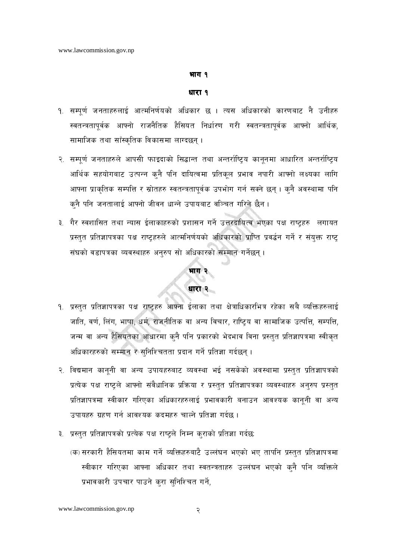### भाग १

### धारा १

- १. सम्पूर्ण जनताहरुलाई आत्मनिर्णयको अधिकार छ । त्यस अधिकारको कारणबाट नै उनीहरु स्वतन्त्रतापूर्वक आफ्नो राजनैतिक हैसियत निर्धारण गरी स्वतन्त्रतापूर्वक आफ्नो आर्थिक, सामाजिक तथा साँस्कृतिक विकासमा लाग्दछन् ।
- २. सम्पूर्ण जनताहरुले आपसी फाइदाको सिद्धान्त तथा अन्तर्राष्ट्रिय कानूनमा आधारित अन्तर्राष्ट्रिय आर्थिक सहयोगबाट उत्पन्न कुनै पनि दायित्वमा प्रतिकुल प्रभाव नपारी आफ्नो लक्ष्यका लागि आफ्ना प्राकृतिक सम्पत्ति र स्रोतहरु स्वतन्त्रतापूर्वक उपभोग गर्न सक्ने छन् । कुनै अवस्थामा पनि क्नै पनि जनतालाई आफ्नो जीवन धान्ने उपायबाट वञ्चित गरिने छैन ।
- ३. गैर स्वशासित तथा न्यास ईलाकाहरुको प्रशासन गर्ने उत्तरदायित्व भएका पक्ष राष्ट्रहरु लगायत प्रस्तुत प्रतिज्ञापत्रका पक्ष राष्ट्रहरुले आत्मनिर्णयको अधिकारको प्राप्ति प्रवर्द्धन गर्ने र संयुक्त राष्ट् संघको वडापत्रका व्यवस्थाहरु अनुरुप सो अधिकारको सम्मान गर्नेछन्।

### भाग २

### धारा २

- <u> १. प्रस्तुत प्रतिज्ञापत्रका पक्ष राष्ट्रहरु आफ्ना ईलाका तथा क्षेत्राधिकारभित्र रहेका सबै व्यक्तिहरुलाई</u> जाति, वर्ण, लिंग, भाषा, धर्म, राजनीतिक वा अन्य विचार, राष्ट्रिय वा सामाजिक उत्पत्ति, सम्पत्ति, जन्म वा अन्य हैसियतका आधारमा कुनै पनि प्रकारको भेदभाव विना प्रस्तुत प्रतिज्ञापत्रमा स्वीकृत अधिकारहरुको सम्मान र सुनिश्चितता प्रदान गर्ने प्रतिज्ञा गर्दछन्।
- २. विद्यमान कानूनी वा अन्य उपायहरुबाट व्यवस्था भई नसकेको अवस्थामा प्रस्तुत प्रतिज्ञापत्रको प्रत्येक पक्ष राष्ट्रले आफ्नो संवैधानिक प्रक्रिया र प्रस्तुत प्रतिज्ञापत्रका व्यवस्थाहरु अनुरुप प्रस्तुत प्रतिज्ञापत्रमा स्वीकार गरिएका अधिकारहरुलाई प्रभावकारी बनाउन आवश्यक कानूनी वा अन्य उपायहरु ग्रहण गर्न आवश्यक कदमहरु चाल्ने प्रतिज्ञा गर्दछ ।
- ३. प्रस्तुत प्रतिज्ञापत्रको प्रत्येक पक्ष राष्ट्रले निम्न कुराको प्रतिज्ञा गर्दछ:
	- (क) सरकारी हैसियतमा काम गर्ने व्यक्तिहरुबाटै उल्लंघन भएको भए तापनि प्रस्तुत प्रतिज्ञापत्रमा स्वीकार गरिएका आफ्ना अधिकार तथा स्वतन्त्रताहरु उल्लंघन भएको कुनै पनि व्यक्तिले प्रभावकारी उपचार पाउने करा सुनिश्चित गर्ने,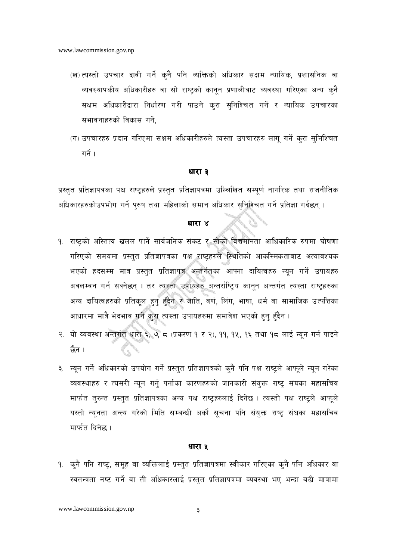- (ख) त्यस्तो उपचार दावी गर्ने कुनै पनि व्यक्तिको अधिकार सक्षम न्यायिक, प्रशासनिक वा व्यवस्थापकीय अधिकारीहरु वा सो राष्ट्रको कानुन प्रणालीबाट व्यवस्था गरिएका अन्य कुनै सक्षम अधिकारीद्वारा निर्धारण गरी पाउने कुरा सुनिश्चित गर्ने र न्यायिक उपचारका संभावनाहरुको विकास गर्ने.
- (ग) उपचारहरु प्रदान गरिएमा सक्षम अधिकारीहरुले त्यस्ता उपचारहरु लागू गर्ने कुरा सुनिश्चित गर्ने ।

प्रस्तुत प्रतिज्ञापत्रका पक्ष राष्ट्रहरुले प्रस्तुत प्रतिज्ञापत्रमा उल्लिखित सम्पूर्ण नागरिक तथा राजनीतिक अधिकारहरुकोउपभोग गर्ने पुरुष तथा महिलाको समान अधिकार सुनिश्चित गर्ने प्रतिज्ञा गर्दछन् ।

### धारा ४

- १. राष्ट्रको अस्तित्व खलल पार्ने सार्वजनिक संकट र सोको विद्यमानता आधिकारिक रुपमा घोषणा गरिएको समयमा प्रस्तुत प्रतिज्ञापत्रका पक्ष राष्ट्रहरुले स्थितिको आकस्मिकताबाट अत्यावश्यक भएको हदसम्म मात्र प्रस्तुत प्रतिज्ञापत्र अन्तर्गतका आफ्ना दायित्वहरु न्यून गर्ने उपायहरु अवलम्बन गर्न सक्नेछन् । तर त्यस्ता उपायहरु अन्तर्राष्ट्रिय कानून अन्तर्गत त्यस्ता राष्ट्रहरुका अन्य दायित्वहरुको प्रतिकूल हुन् हुँदैन र जाति, वर्ण, लिंग, भाषा, धर्म वा सामाजिक उत्पत्तिका आधारमा मात्रै भेदभाव गर्ने कुरा त्यस्ता उपायहरुमा समावेश भएको हुन् हुँदैन ।
- २. यो व्यवस्था अन्तर्गत धारा ६, ७, ८ (प्रकरण १ र २), ११, १६, १६ तथा १८ लाई न्यून गर्न पाइने छैन ।
- ३. न्यून गर्ने अधिकारको उपयोग गर्ने प्रस्तुत प्रतिज्ञापत्रको कुनै पनि पक्ष राष्ट्रले आफूले न्यून गरेका व्यवस्थाहरु र त्यसरी न्यून गर्न् पर्नाका कारणहरुको जानकारी संयुक्त राष्ट्र संघका महासचिव मार्फत तुरुन्त प्रस्तुत प्रतिज्ञापत्रका अन्य पक्ष राष्ट्रहरुलाई दिनेछ । त्यस्तो पक्ष राष्ट्रले आफूले यस्तो न्यूनता अन्त्य गरेको मिति सम्बन्धी अर्को सूचना पनि संयुक्त राष्ट्र संघका महासचिव मार्फत दिनेछ ।

### धारा ५

१. क्नै पनि राष्ट्, समूह वा व्यक्तिलाई प्रस्तुत प्रतिज्ञापत्रमा स्वीकार गरिएका क्**नै पनि अधिकार** वा स्वतन्त्रता नष्ट गर्ने वा ती अधिकारलाई प्रस्तुत प्रतिज्ञापत्रमा व्यवस्था भए भन्दा बढी मात्रामा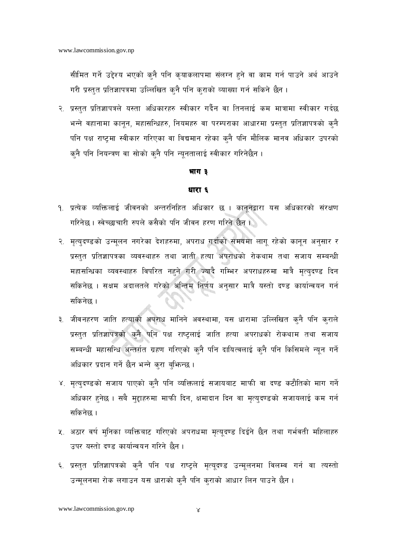सीमित गर्ने उद्देश्य भएको कुनै पनि कृयाकलापमा संलग्न हुने वा काम गर्न पाउने अर्थ आउने गरी प्रस्तुत प्रतिज्ञापत्रमा उल्लिखित कुनै पनि कुराको व्याख्या गर्न सकिने छैन ।

२. प्रस्तत प्रतिज्ञापत्रले यस्ता अधिकारहरु स्वीकार गर्दैन वा तिनलाई कम मात्रामा स्वीकार गर्दछ भन्ने वहानामा कानून, महासन्धिहरु, नियमहरु वा परम्पराका आधारमा प्रस्तुत प्रतिज्ञापत्रको क्नै पनि पक्ष राष्ट्रमा स्वीकार गरिएका वा विद्यमान रहेका कुनै पनि मौलिक मानव अधिकार उपरको क्नै पनि नियन्त्रण वा सोको क्नै पनि न्यूनतालाई स्वीकार गरिनेछैन ।

### भाग ३

### धारा ६

- १. प्रत्येक व्यक्तिलाई जीवनको अन्तरनिहित अधिकार छ । कानूनद्वारा यस अधिकारको संरक्षण गरिनेछ । स्वेच्छाचारी रुपले कसैको पनि जीवन हरण गरिने छैन ।
- २. मृत्युदण्डको उन्मूलन नगरेका देशहरुमा, अपराध गर्दाको समयमा लागू रहेको कानून अनुसार र प्रस्तुत प्रतिज्ञापत्रका व्यवस्थाहरु तथा जाती हत्या अपराधको रोकथाम तथा सजाय सम्बन्धी महासन्धिका व्यवस्थाहरु विपरित नहने गरी ज्यादै गम्भिर अपराधहरुमा मात्रै मृत्युदण्ड दिन सकिनेछ । सक्षम अदालतले गरेको अन्तिम निर्णय अनुसार मात्रै यस्तो दण्ड कार्यान्वयन गर्न सकिनेछ ।
- ३. जीवनहरण जाति हत्याको अपराध मानिने अवस्थामा, यस धारामा उल्लिखित कुनै पनि कुराले प्रस्तुत प्रतिज्ञापत्रको कुनै पनि पक्ष राष्ट्रलाई जाति हत्या अपराधको रोकथाम तथा सजाय सम्बन्धी महासन्धि अन्तर्गत ग्रहण गरिएको कुनै पनि दायित्वलाई कुनै पनि किसिमले न्यून गर्ने अधिकार प्रदान गर्ने छैन भन्ने करा बुभिन्छ ।
- ४. मृत्युदण्डको सजाय पाएको क्नै पनि व्यक्तिलाई सजायबाट माफी वा दण्ड कटौतिको माग गर्ने अधिकार हुनेछ । सबै मुद्दाहरुमा माफी दिन, क्षमादान दिन वा मृत्युदण्डको सजायलाई कम गर्न सकिनेछ ।
- ५. अठार वर्ष मुनिका व्यक्तिबाट गरिएको अपराधमा मृत्यूदण्ड दिईने छैन तथा गर्भवती महिलाहरु उपर यस्तो दण्ड कार्यान्वयन गरिने छैन ।
- ६. प्रस्तुत प्रतिज्ञापत्रको कुनै पनि पक्ष राष्ट्रले मृत्यूदण्ड उन्मूलनमा विलम्ब गर्न वा त्यस्तो उन्मूलनमा रोक लगाउन यस धाराको क्नै पनि क्राको आधार लिन पाउने छैन ।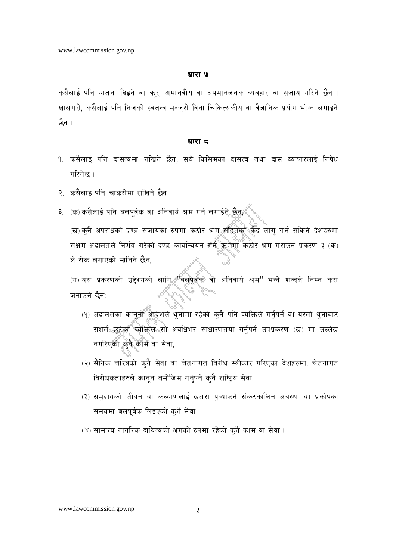कसैलाई पनि यातना दिइने वा ऋर, अमानवीय वा अपमानजनक व्यबहार वा सजाय गरिने छैन । खासगरी, कसैलाई पनि निजको स्वतन्त्र मञ्ज्री विना चिकित्सकीय वा वैज्ञानिक प्रयोग भोग्न लगाइने छैन ।

### धारा द

- १. कसैलाई पनि दासत्वमा राखिने छैन, सबै किसिमका दासत्व तथा दास व्यापारलाई निषेध गरिनेछ ।
- २. कसैलाई पनि चाकरीमा राखिने छैन ।
- ३. (क) कसैलाई पनि बलपूर्वक वा अनिवार्य श्रम गर्न लगाईने छैन,

(ख) कुनै अपराधको दण्ड सजायका रुपमा कठोर श्रम सहितको कैद लागू गर्न सकिने देशहरुमा सक्षम अदालतले निर्णय गरेको दण्ड कार्यान्वयन गर्ने क्रममा कठोर श्रम गराउन प्रकरण ३ (क) ले रोक लगाएको मानिने छैन,

(ग) यस प्रकरणको उद्देश्यको लागि "बलपूर्वक वा अनिवार्य श्रम" भन्ने शब्दले निम्न कुरा जनाउने छैन:

- (१) अदालतको कानूनी आदेशले थुनामा रहेको कुनै पनि व्यक्तिले गर्नुपर्ने वा यस्तो थुनाबाट सशर्त छुटेको व्यक्तिले सो अवधिभर साधारणतया गर्नुपर्ने उपप्रकरण (ख) मा उल्लेख नगरिएको कुनै काम वा सेवा,
- (२) सैनिक चरित्रको कुनै सेवा वा चेतनागत विरोध स्वीकार गरिएका देशहरुमा, चेतनागत विरोधकर्ताहरुले कानून बमोजिम गर्नुपर्ने कुनै राष्ट्रिय सेवा,
- (३) समदायको जीवन वा कल्याणलाई खतरा पुऱ्याउने संकटकालिन अवस्था वा प्रकोपका समयमा बलपूर्वक लिइएको कुनै सेवा
- (४) सामान्य नागरिक दायित्वको अंगको रुपमा रहेको कुनै काम वा सेवा ।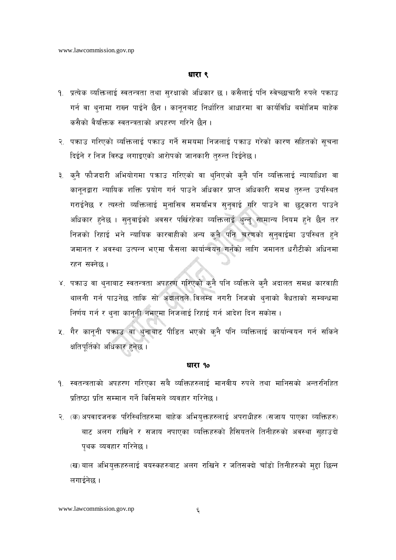- १. प्रत्येक व्यक्तिलाई स्वतन्त्रता तथा सुरक्षाको अधिकार छ । कसैलाई पनि स्वेच्छाचारी रुपले पकाउ गर्न वा थनामा राख्न पाईने छैन । काननबाट निर्धारित आधारमा वा कार्यविधि बमोजिम बाहेक कसैको वैयक्तिक स्वतन्त्रताको अपहरण गरिने छैन ।
- २. पकाउ गरिएको व्यक्तिलाई पकाउ गर्ने समयमा निजलाई पकाउ गरेको कारण सहितको सचना दिईने र निज विरुद्ध लगाइएको आरोपको जानकारी तरुन्त दिईनेछ।
- ३. क्नै फौजदारी अभियोगमा पक्राउ गरिएको वा थ्निएको क्नै पनि व्यक्तिलाई न्यायाधिश वा कानूनद्वारा न्यायिक शक्ति प्रयोग गर्न पाउने अधिकार प्राप्त अधिकारी समक्ष तुरुन्त उपस्थित गराईनेछ र त्यस्तो व्यक्तिलाई मुनासिव समयभित्र सुनुवाई गरि पाउने वा छुटुकारा पाउने अधिकार हनेछ । सुनुवाईको अवसर पर्खिरहेका व्यक्तिलाई थुन्नु सामान्य नियम हुने छैन तर निजको रिहाई भने न्यायिक कारवाहीको अन्य कुनै पनि चरणको सुनुवाईमा उपस्थित हुने जमानत र अवस्था उत्पन्न भएमा फैसला कार्यान्वयन गर्नको लागि जमानत धरौटीको अधिनमा रहन सक्नेछ।
- ४. पकाउ वा थुनाबाट स्वतन्त्रता अपहरण गरिएको कुनै पनि व्यक्तिले कुनै अदालत समक्ष कारवाही थालनी गर्न पाउनेछ ताकि सो अदालतले विलम्ब नगरी निजको थुनाको वैधताको सम्बन्धमा निर्णय गर्न र थुना कानूनी नभएमा निजलाई रिहाई गर्न आदेश दिन सकोस।
- ५. गैर कानूनी पकाउ वा थुनाबाट पीडित भएको कुनै पनि व्यक्तिलाई कार्यान्वयन गर्न सकिने क्षतिपूर्तिको अधिकार हुनेछ ।

### धारा १०

- <u>१. स्वतन्त्रताको अपहरण गरिएका सबै व्यक्तिहरुलाई मानवीय रुपले तथा मानिसको अन्तरनिहित</u> प्रतिष्ठा प्रति सम्मान गर्ने किसिमले व्यवहार गरिनेछ ।
- २. (क) अपवादजनक परिस्थितिहरुमा बाहेक अभियुक्तहरुलाई अपराधीहरु (सजाय पाएका व्यक्तिहरु) बाट अलग राखिने र सजाय नपाएका व्यक्तिहरुको हैसियतले तिनीहरुको अवस्था सुहाउदो पुथक व्यवहार गरिनेछ ।

<sup>(</sup>ख) बाल अभियुक्तहरुलाई वयस्कहरुबाट अलग राखिने र जतिसक्दो चाँडो तिनीहरुको मुद्दा छिन्न लगाईनेछ ।

www.lawcommission.gov.np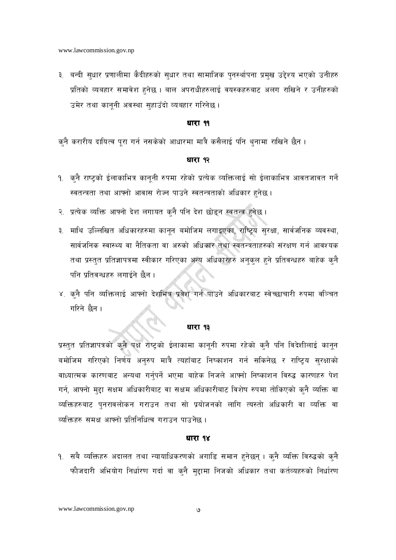३. बन्दी सुधार प्रणालीमा कैदीहरुको सुधार तथा सामाजिक पुनर्स्थापना प्रमुख उद्देश्य भएको उनीहरु प्रतिको व्यबहार समावेश हुनेछ । बाल अपराधीहरुलाई वयस्कहरुबाट अलग राखिने र उनीहरुको उमेर तथा कानूनी अवस्था सुहाउँदो व्यबहार गरिनेछ ।

### धारा ११

कनै करारीय दायित्व पुरा गर्न नसकेको आधारमा मात्रै कसैलाई पनि थुनामा राखिने छैन ।

### धारा १२

- १. कुनै राष्टको ईलाकाभित्र कानुनी रुपमा रहेको प्रत्येक व्यक्तिलाई सो ईलाकाभित्र आवतजावत गर्ने स्वतन्त्रता तथा आफ्नो आवास रोज्न पाउने स्वतन्त्रताको अधिकार हनेछ।
- २. प्रत्येक व्यक्ति आफ्नो देश लगायत क्नै पनि देश छोड्न स्वतन्त्र हुनेछ ।
- ३. माथि उल्लिखित अधिकारहरुमा कानून बमोजिम लगाइएका, राष्टिय सरक्षा, सार्वजनिक व्यवस्था, सार्वजनिक स्वास्थ्य वा नैतिकता वा अरुको अधिकार तथा स्वतन्त्रताहरुको संरक्षण गर्न आवश्यक तथा प्रस्तुत प्रतिज्ञापत्रमा स्वीकार गरिएका अन्य अधिकारहरु अनुकुल हुने प्रतिवन्धहरु बाहेक कुनै पनि प्रतिवन्धहरु लगाईने छैन ।
- ४. क्नै पनि व्यक्तिलाई आफ्नो देशभित्र प्रवेश गर्न पाउने अधिकारबाट स्वेच्छाचारी रुपमा वञ्चित गरिने छैन।

### धारा १३

प्रस्तुत प्रतिज्ञापत्रको कुनै पक्ष राष्ट्रको ईलाकामा कानुनी रुपमा रहेको कुनै पनि विदेशीलाई कानुन बमोजिम गरिएको निर्णय अनुरुप मात्रै त्यहाँबाट निष्काशन गर्न सकिनेछ र राष्ट्रिय सुरक्षाको वाध्यात्मक कारणबाट अन्यथा गर्नुपर्ने भएमा बाहेक निजले आफ्नो निष्काशन विरुद्ध कारणहरु पेश गर्न, आफ्नो मुद्दा सक्षम अधिकारीबाट वा सक्षम अधिकारीबाट विशेष रुपमा तोकिएको कुनै व्यक्ति वा व्यक्तिहरुबाट पुनरावलोकन गराउन तथा सो प्रयोजनको लागि त्यस्तो अधिकारी वा व्यक्ति वा व्यक्तिहरु समक्ष आफ्नो प्रतिनिधित्व गराउन पाउनेछ ।

### धारा १४

१. सबै व्यक्तिहरु अदालत तथा न्यायाधिकरणको अगाडि समान हुनेछन् । कुनै व्यक्ति विरुद्धको कुनै फौजदारी अभियोग निर्धारण गर्दा वा क्नै मुद्दामा निजको अधिकार तथा कर्तव्यहरुको निर्धारण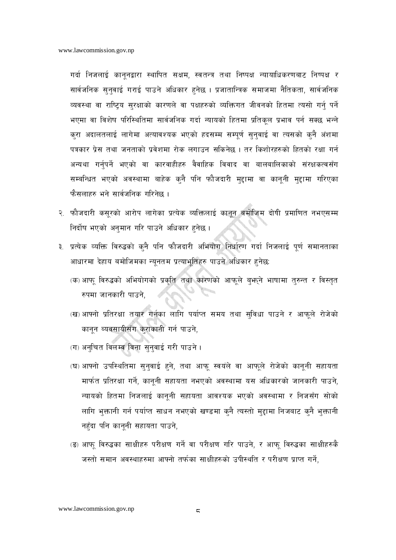गर्वा निजलाई कानूनद्वारा स्थापित सक्षम, स्वतन्त्र तथा निष्पक्ष न्यायाधिकरणबाट निष्पक्ष र सार्वजनिक सुनुवाई गराई पाउने अधिकार हुनेछ । प्रजातान्त्रिक समाजमा नैतिकता, सार्वजनिक व्यवस्था वा राष्ट्रिय सुरक्षाको कारणले वा पक्षहरुको व्यक्तिगत जीवनको हितमा त्यसो गर्नु पर्ने भएमा वा विशेष परिस्थितिमा सार्वजनिक गर्दा न्यायको हितमा प्रतिकल प्रभाव पर्न सक्छ भन्ने करा अदालतलाई लागेमा अत्यावश्यक भएको हदसम्म सम्पर्ण सनवाई वा त्यसको कनै अंशमा पत्रकार प्रेस तथा जनताको प्रवेशमा रोक लगाउन सकिनेछ । तर किशोरहरुको हितको रक्षा गर्न अन्यथा गर्नुपर्ने भएको वा कारवाहीहरु वैवाहिक विवाद वा बालबालिकाको संरक्षकत्वसँग सम्बन्धित भएको अवस्थामा बाहेक क्नै पनि फौजदारी मुद्दामा वा कानूनी मुद्दामा गरिएका फैसलाहरु भने सार्वजनिक गरिनेछ ।

- २. फौजदारी कसुरको आरोप लागेका प्रत्येक व्यक्तिलाई कानून बमोजिम दोषी प्रमाणित नभएसम्म निर्दोष भएको अनुमान गरि पाउने अधिकार हुनेछ ।
- ३. प्रत्येक व्यक्ति विरुद्धको कुनै पनि फौजदारी अभियोग निर्धारण गर्दा निजलाई पूर्ण समानताका आधारमा देहाय बमोजिमका न्यूनतम प्रत्याभूतिहरु पाउने अधिकार हुनेछ:
	- (क) आफ् विरुद्धको अभियोगको प्रकृति तथा कारणको आफूले बुभन्ने भाषामा तुरुन्त र विस्तृत रुपमा जानकारी पाउने.
	- (ख) आफ्नो प्रतिरक्षा तयार गर्नका लागि पर्याप्त समय तथा सुविधा पाउने र आफूले रोजेको कानून ब्यवसायीसँग कुराकानी गर्न पाउने,
	- (ग) अनुचित विलम्ब विना सुनुवाई गरी पाउने ।
	- (घ) आफ्नो उपस्थितिमा सुनुवाई हुने, तथा आफू स्वयंले वा आफूले रोजेको कानूनी सहायता मार्फत प्रतिरक्षा गर्ने, कानूनी सहायता नभएको अवस्थामा यस अधिकारको जानकारी पाउने, न्यायको हितमा निजलाई कानूनी सहायता आवश्यक भएको अवस्थामा र निजसँग सोको लागि भक्तानी गर्न पर्याप्त साधन नभएको खण्डमा कनै त्यस्तो मद्दामा निजबाट कनै भक्तानी नहँदा पनि कानूनी सहायता पाउने,
	- (ङ) आफ् विरुद्धका साक्षीहरु परीक्षण गर्ने वा परीक्षण गरि पाउने, र आफ् विरुद्धका साक्षीहरुकै जस्तो समान अवस्थाहरुमा आफ्नो तर्फका साक्षीहरुको उपीस्थति र परीक्षण प्राप्त गर्ने,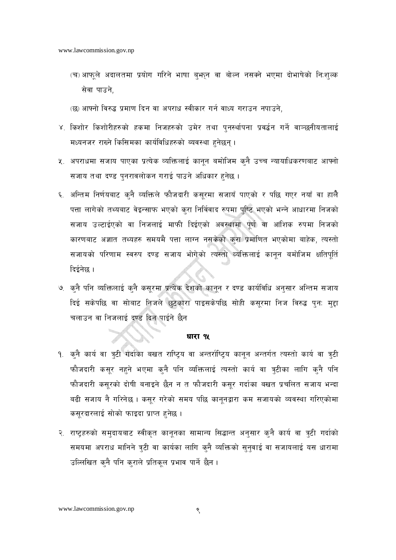- (च) आफूले अदालतमा प्रयोग गरिने भाषा बुभून वा बोल्न नसक्ने भएमा दोभाषेको निःशुल्क सेवा पाउने.
- (छ) आफ्नो विरुद्ध प्रमाण दिन वा अपराध स्वीकार गर्न वाध्य गराउन नपाउने.
- ४. किशोर किशोरीहरुको हकमा निजहरुको उमेर तथा पुनर्स्थापना प्रवर्द्धन गर्ने वाञ्छनीयतालाई मध्यनजर राख्ने किसिमका कार्यविधिहरुको ब्यवस्था हुनेछन्।
- ५. अपराधमा सजाय पाएका प्रत्येक व्यक्तिलाई कानून बमोजिम कुनै उच्च न्यायाधिकरणबाट आफ्नो सजाय तथा दण्ड पुनरावलोकन गराई पाउने अधिकार हुनेछ ।
- ६. अन्तिम निर्णयबाट कनै व्यक्तिले फौजदारी कसरमा सजायँ पाएको र पछि गएर नयाँ वा हालै पत्ता लागेको तथ्यबाट वेइन्साफ भएको करा निर्विवाद रुपमा पृष्टि भएको भन्ने आधारमा निजको सजाय उल्टाईएको वा निजलाई माफी दिईएको अवस्थामा पर्ण वा आंशिक रुपमा निजको कारणबाट अज्ञात तथ्यहरु समयमै पत्ता लाग्न नसकेको करा प्रमाणित भएकोमा बाहेक, त्यस्तो सजायको परिणाम स्वरुप दण्ड सजाय भोगेको त्यस्तो व्यक्तिलाई कानून बमोजिम क्षतिपूर्ति दिईनेछ ।
- ७. क्नै पनि व्यक्तिलाई क्नै कसुरमा प्रत्येक देशको कानून र दण्ड कार्यविधि अनुसार अन्तिम सजाय दिई सकेपछि वा सोबाट निजले छुटकारा पाइसकेपछि सोही कसुरमा निज विरुद्ध पुनः मुद्दा चलाउन वा निजलाई दण्ड दिन पाईने छैन

- <u> १. क्</u>नै कार्य वा त्रुटी गर्दाका बखत राष्ट्रिय वा अन्तर्राष्ट्रिय कानुन अन्तर्गत त्यस्तो कार्य वा त्रुटी फौजदारी कसुर नहने भएमा कृनै पनि व्यक्तिलाई त्यस्तो कार्य वा त्रुटीका लागि कृनै पनि फौजदारी कसुरको दोषी बनाइने छैन न त फौजदारी कसुर गर्दाका बखत प्रचलित सजाय भन्दा बढी सजाय नै गरिनेछ । कसूर गरेको समय पछि कानूनद्वारा कम सजायको व्यवस्था गरिएकोमा कसुरदारलाई सोको फाइदा प्राप्त हुनेछ।
- २. राष्टहरुको समदायबाट स्वीकृत कानुनका सामान्य सिद्धान्त अनुसार कुनै कार्य वा त्रटी गर्दाको समयमा अपराध मानिने त्रटी वा कार्यका लागि कनै व्यक्तिको सनवाई वा सजायलाई यस धारामा उल्लिखित कनै पनि कराले प्रतिकल प्रभाव पार्ने छैन।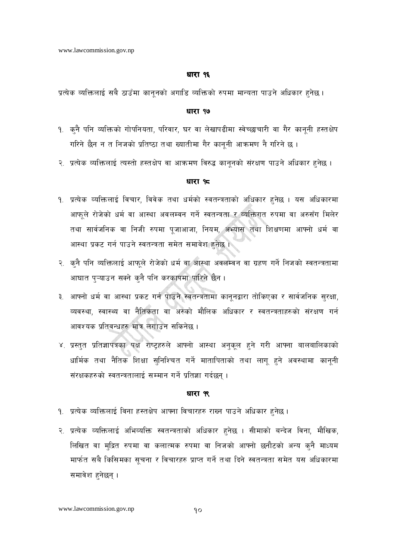प्रत्येक व्यक्तिलाई सबै ठाउँमा कानूनको अगाडि व्यक्तिको रुपमा मान्यता पाउने अधिकार हुनेछ।

### धारा १७

- १. क्नै पनि व्यक्तिको गोपनियता, परिवार, घर वा लेखापढीमा स्वेच्छाचारी वा गैर कानूनी हस्तक्षेप गरिने छैन न त निजको प्रतिष्ठा तथा ख्यातीमा गैर कानूनी आक्रमण नै गरिने छ ।
- २. प्रत्येक व्यक्तिलाई त्यस्तो हस्तक्षेप वा आक्रमण विरुद्ध कानूनको संरक्षण पाउने अधिकार हुनेछ ।

### धारा १८

- १. प्रत्येक व्यक्तिलाई विचार, विवेक तथा धर्मको स्वतन्त्रताको अधिकार हुनेछ । यस अधिकारमा आफूले रोजेको धर्म वा आस्था अवलम्वन गर्ने स्वतन्त्रता र व्यक्तिगत रुपमा वा अरुसँग मिलेर तथा सार्वजनिक वा निजी रुपमा पुजाआजा, नियम, अभ्यास तथा शिक्षणमा आफ्नो धर्म वा आस्था प्रकट गर्न पाउने स्वतन्त्रता समेत समावेश हुनेछ ।
- २. कुनै पनि व्यक्तिलाई आफुले रोजेको धर्म वा आस्था अवलम्बन वा ग्रहण गर्ने निजको स्वतन्त्रतामा आघात पुऱ्याउन सक्ने कुनै पनि करकापमा पारिने छैन।
- ३. आफ्नो धर्म वा आस्था प्रकट गर्न पाउने स्वतन्त्रतामा कानूनद्वारा तोकिएका र सार्वजनिक सुरक्षा, व्यवस्था, स्वास्थ्य वा नैतिकता वा अरुको मौलिक अधिकार र स्वतन्त्रताहरुको संरक्षण गर्न आवश्यक प्रतिवन्धहरु मात्र लगाउन सकिनेछ ।
- ४. प्रस्तुत प्रतिज्ञापत्रका पक्ष राष्ट्रहरुले आफ्नो आस्था अनुकुल हुने गरी आफ्ना बालबालिकाको धार्मिक तथा नैतिक शिक्षा सुनिश्चित गर्ने मातापिताको तथा लागू हुने अवस्थामा कानूनी संरक्षकहरुको स्वतन्त्रतालाई सम्मान गर्ने प्रतिज्ञा गर्दछन् ।

### धारा ९९

- १. प्रत्येक व्यक्तिलाई विना हस्तक्षेप आफ्ना विचारहरु राख्न पाउने अधिकार हुनेछ।
- २. प्रत्येक व्यक्तिलाई अभिव्यक्ति स्वतन्त्रताको अधिकार हुनेछ । सीमाको बन्देज विना, मौखिक, लिखित वा मुद्रित रुपमा वा कलात्मक रुपमा वा निजको आफ्नो छनौटको अन्य कुनै माध्यम मार्फत सबै किसिमका सूचना र विचारहरु प्राप्त गर्ने तथा दिने स्वतन्त्रता समेत यस अधिकारमा समावेश हनेछन्।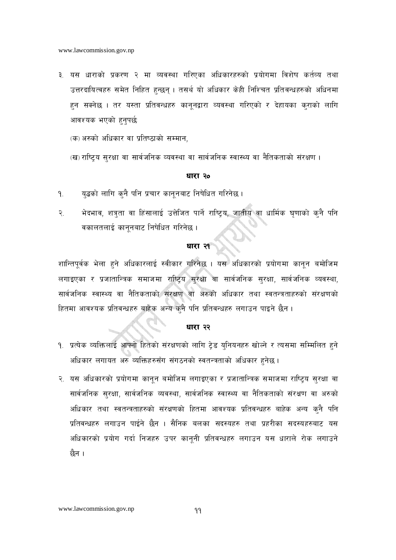३. यस धाराको प्रकरण २ मा व्यवस्था गरिएका अधिकारहरुको प्रयोगमा विशेष कर्तव्य तथा उत्तरदायित्वहरु समेत निहित हुन्छन् । तसर्थ यो अधिकार केही निश्चित प्रतिवन्धहरुको अधिनमा हन सक्नेछ । तर यस्ता प्रतिवन्धहरु कानूनद्वारा व्यवस्था गरिएको र देहायका क्राको लागि आवश्यक भएको हनपर्छ:

(क) अरुको अधिकार वा प्रतिष्ठाको सम्मान,

(ख) राष्ट्रिय सुरक्षा वा सार्वजनिक व्यवस्था वा सार्वजनिक स्वास्थ्य वा नैतिकताको संरक्षण ।

### धारा २०

- यद्धको लागि कनै पनि प्रचार कानूनबाट निषेधित गरिनेछ ।  $9<sub>1</sub>$
- भेदभाव, शत्रुता वा हिंसालाई उत्तेजित पार्ने राष्ट्रिय, जातीय वा धार्मिक घृणाको कुनै पनि  $\widetilde{\mathcal{R}}$ . वकालतलाई कानूनबाट निषेधित गरिनेछ ।

### धारा २१

शान्तिपूर्वक भेला हुने अधिकारलाई स्वीकार गरिनेछ । यस<sup>े</sup>अधिकारको प्रयोगमा कानून बमोजिम लगाइएका र प्रजातान्त्रिक समाजमा राष्ट्रिय सुरक्षा वा सार्वजनिक सुरक्षा, सार्वजनिक व्यवस्था, सार्वजनिक स्वास्थ्य वा नैतिकताको संरक्षण वा अरुको अधिकार तथा स्वतन्त्रताहरुको संरक्षणको हितमा आवश्यक प्रतिवन्धहरु बाहेक अन्य कुनै पनि प्रतिवन्धहरु लगाउन पाइने छैन ।

### धारा २२

- १. प्रत्येक व्यक्तिलाई आफ्नो हितको संरक्षणको लागि टेड युनियनहरु खोल्ने र त्यसमा सम्मिलित हुने अधिकार लगायत अरु व्यक्तिहरुसँग संगठनको स्वतन्त्रताको अधिकार हुनेछ ।
- २. यस अधिकारको प्रयोगमा कानून बमोजिम लगाइएका र प्रजातान्त्रिक समाजमा राष्ट्रिय सुरक्षा वा सार्वजनिक सुरक्षा, सार्वजनिक व्यवस्था, सार्वजनिक स्वास्थ्य वा नैतिकताको संरक्षण वा अरुको अधिकार तथा स्वतन्त्रताहरुको संरक्षणको हितमा आवश्यक प्रतिवन्धहरु बाहेक अन्य कुनै पनि प्रतिवन्धहरु लगाउन पाईने छैन । सैनिक बलका सदस्यहरु तथा प्रहरीका सदस्यहरुबाट यस अधिकारको प्रयोग गर्दा निजहरु उपर कानूनी प्रतिवन्धहरु लगाउन यस धाराले रोक लगाउने छैन ।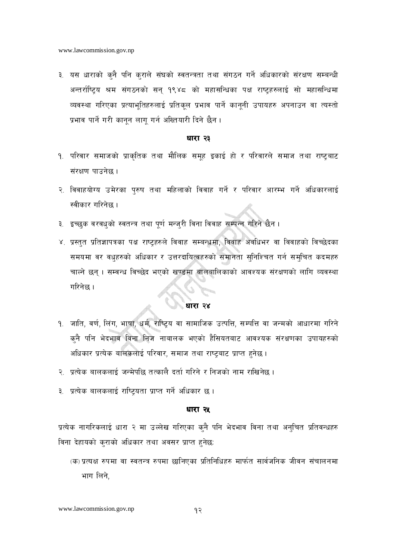३. यस धाराको क्नै पनि क्राले संघको स्वतन्त्रता तथा संगठन गर्ने अधिकारको संरक्षण सम्बन्धी अन्तर्राष्ट्रिय श्रम संगठनको सन् १९४८ को महासन्धिका पक्ष राष्ट्रहरुलाई सो महासन्धिमा व्यवस्था गरिएका प्रत्याभूतिहरुलाई प्रतिकूल प्रभाव पार्ने कानूनी उपायहरु अपनाउन वा त्यस्तो प्रभाव पार्ने गरी कानन लाग गर्न अख्तियारी दिने छैन ।

### धारा २३

- <u>१. परिवार समाजको प्राकृतिक तथा मौलिक समह इकाई हो र परिवारले समाज तथा राष्टबाट</u> संरक्षण पाउनेछ ।
- २. विवाहयोग्य उमेरका पुरुष तथा महिलाको विवाह गर्ने र परिवार आरम्भ गर्ने अधिकारलाई स्वीकार गरिनेछ ।
- ३. इच्छुक वरवधुको स्वतन्त्र तथा पूर्ण मन्जुरी विना विवाह सम्पन्न गरिने छैन ।
- ४. प्रस्तुत प्रतिज्ञापत्रका पक्ष राष्ट्रहरुले विवाह सम्बन्धमा, विवाह अवधिभर वा विवाहको विच्छेदका समयमा वर वधुहरुको अधिकार र उत्तरदायित्वहरुको समानता सुनिश्चित गर्न समुचित कदमहरु चाल्ने छन् । सम्वन्ध विच्छेद भएको खण्डमा बालबालिकाको आवश्यक संरक्षणको लागि व्यवस्था गरिनेछ ।

## ्रि<sup>े</sup>यारा २४<br>अज्ञात २४

- १. जाति, वर्ण, लिंग, भाषा, धर्म, राष्ट्रिय वा सामाजिक उत्पत्ति, सम्पत्ति वा जन्मको आधारमा गरिने कनै पनि भेदभाव विना निज नाबालक भएको हैसियतबाट आवश्यक संरक्षणका उपायहरुको अधिकार प्रत्येक बालकलाई परिवार, समाज तथा राष्ट्रबाट प्राप्त हुनेछ।
- २. प्रत्येक बालकलाई जन्मेपछि तत्कालै दर्ता गरिने र निजको नाम राखिनेछ ।
- ३. प्रत्येक बालकलाई राष्टियता प्राप्त गर्ने अधिकार छ।

### धारा २५

प्रत्येक नागरिकलाई धारा २ मा उल्लेख गरिएका क्नै पनि भेदभाव विना तथा अनुचित प्रतिवन्धहरु विना देहायको कुराको अधिकार तथा अवसर प्राप्त हुनेछ:

(क) प्रत्यक्ष रुपमा वा स्वतन्त्र रुपमा छानिएका प्रतिनिधिहरु मार्फत सार्वजनिक जीवन संचालनमा भाग लिने.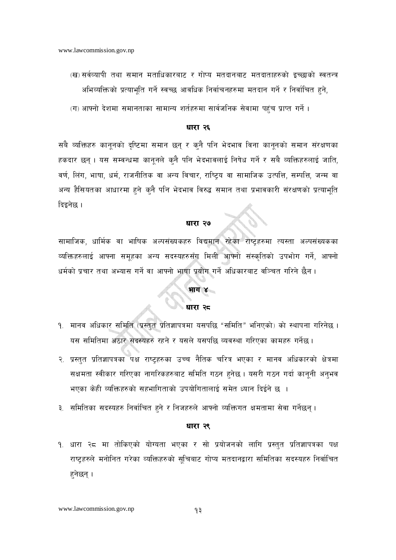- (ख) सर्वव्यापी तथा समान मताधिकारबाट र गोप्य मतदानबाट मतदाताहरुको इच्छाको स्वतन्त्र अभिव्यक्तिको प्रत्याभूति गर्ने स्वच्छ आवधिक निर्वाचनहरुमा मतदान गर्ने र निर्वाचित हुने,
- (ग) आफ्नो देशमा समानताका सामान्य शर्तहरुमा सार्वजनिक सेवामा पहुंच प्राप्त गर्ने ।

सबै व्यक्तिहरु कानूनको दृष्टिमा समान छन् र कुनै पनि भेदभाव विना कानूनको समान संरक्षणका हकदार छन्। यस सम्वन्धमा कानूनले क्नै पनि भेदभावलाई निषेध गर्ने र सबै व्यक्तिहरुलाई जाति, वर्ण, लिंग, भाषा, धर्म, राजनीतिक वा अन्य विचार, राष्ट्रिय वा सामाजिक उत्पत्ति, सम्पत्ति, जन्म वा अन्य हैसियतका आधारमा हुने कुनै पनि भेदभाव विरुद्ध समान तथा प्रभावकारी संरक्षणको प्रत्याभूति दिइनेछ ।

### धारा २७

सामाजिक, धार्मिक वा भाषिक अल्पसंख्यकहरु विद्यमान रहेका राष्ट्रहरुमा त्यस्ता अल्पसंख्यकका व्यक्तिहरुलाई आफ्ना समूहका अन्य सदस्यहरुसँग मिली आफ्नो संस्कृतिको उपभोग गर्ने, आफ्नो धर्मको प्रचार तथा अभ्यास गर्ने वा आफ्नो भाषा प्रयोग गर्ने अधिकारबाट वञ्चित गरिने छैन।

# ी भाग ४<br>अघारा २<del>८</del>

- १. मानव अधिकार समिति (प्रस्तत प्रतिज्ञापत्रमा यसपछि "समिति" भनिएको) को स्थापना गरिनेछ । यस समितिमा अठार सदस्यहरु रहने र यसले यसपछि व्यवस्था गरिएका कामहरु गर्नेछ।
- २. प्रस्तुत प्रतिज्ञापत्रका पक्ष राष्ट्रहरुका उच्च नैतिक चरित्र भएका र मानव अधिकारको क्षेत्रमा सक्षमता स्वीकार गरिएका नागरिकहरुबाट समिति गठन हनेछ। यसरी गठन गर्दा कानूनी अनुभव भएका केही व्यक्तिहरुको सहभागिताको उपयोगितालाई समेत ध्यान दिईने छ ।
- ३. समितिका सदस्यहरु निर्वाचित हुने र निजहरुले आफ्नो व्यक्तिगत क्षमतामा सेवा गर्नेछन् ।

### धारा २९

१. धारा २८ मा तोकिएको योग्यता भएका र सो प्रयोजनको लागि प्रस्तुत प्रतिज्ञापत्रका पक्ष राष्ट्रहरुले मनोनित गरेका व्यक्तिहरुको सुचिबाट गोप्य मतदानद्वारा समितिका सदस्यहरु निर्वाचित हनेछन् ।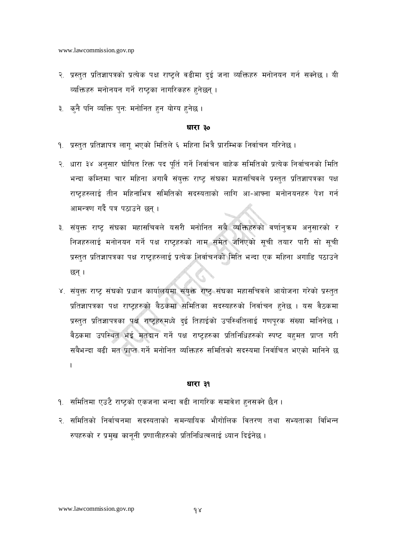- २. प्रस्तुत प्रतिज्ञापत्रको प्रत्येक पक्ष राष्ट्रले वढीमा दुई जना व्यक्तिहरु मनोनयन गर्न सक्नेछ । यी व्यक्तिहरु मनोनयन गर्ने राष्ट्रका नागरिकहरु हुनेछन् ।
- ३. कनै पनि व्यक्ति पनः मनोनित हन योग्य हनेछ।

- १. प्रस्तुत प्रतिज्ञापत्र लागु भएको मितिले ६ महिना भित्रै प्रारम्भिक निर्वाचन गरिनेछ ।
- २. धारा ३४ अनुसार घोषित रिक्त पद पूर्ति गर्ने निर्वाचन बाहेक समितिको प्रत्येक निर्वाचनको मिति भन्दा कम्तिमा चार महिना अगावै संयुक्त राष्ट संघका महासचिवले प्रस्तुत प्रतिज्ञापत्रका पक्ष राष्टहरुलाई तीन महिनाभित्र समितिको सदस्यताको लागि आ-आफ्ना मनोनयनहरु पेश गर्न आमन्त्रण गर्दै पत्र पठाउने छन ।
- ३. संयुक्त राष्ट्र संघका महासचिवले यसरी मनोनित सबै व्यक्तिहरुको वर्णान्**क्रम अनुसारको** र निजहरुलाई मनोनयन गर्ने पक्ष राष्ट्रहरुको नाम समेत जनिएको सूची तयार पारी सो सूची प्रस्तुत प्रतिज्ञापत्रका पक्ष राष्ट्रहरुलाई प्रत्येक निर्वाचनको मिति भन्दा एक महिना अगाडि पठाउने छन् ।
- ४. संयुक्त राष्ट्र संघको प्रधान कार्यालयमा संयुक्त राष्ट्र संघका महासचिवले आयोजना गरेको प्रस्तुत प्रतिज्ञापत्रका पक्ष राष्ट्रहरुको बैठकमा समितिका सदस्यहरुको निर्वाचन हुनेछ । यस वैठकमा प्रस्तुत प्रतिज्ञापत्रका पक्ष राष्ट्रहरुमध्ये दुई तिहाईको उपस्थितिलाई गणपूरक संख्या मानिनेछ । वैठकमा उपस्थित भई मतदान गर्ने पक्ष राष्ट्रहरुका प्रतिनिधिहरुको स्पष्ट बहुमत प्राप्त गरी सबैभन्दा बढी मत प्राप्त गर्ने मनोनित व्यक्तिहरु समितिको सदस्यमा निर्वाचित भएको मानिने छ  $\mathbf{I}$

### धारा ३१

- १. समितिमा एउटै राष्ट्रको एकजना भन्दा वढी नागरिक समावेश हुनसक्ने छैन ।
- २. समितिको निर्वाचनमा सदस्यताको समन्यायिक भौगोलिक वितरण तथा सभ्यताका विभिन्न रुपहरुको र प्रमुख कानूनी प्रणालीहरुको प्रतिनिधित्वलाई ध्यान दिईनेछ ।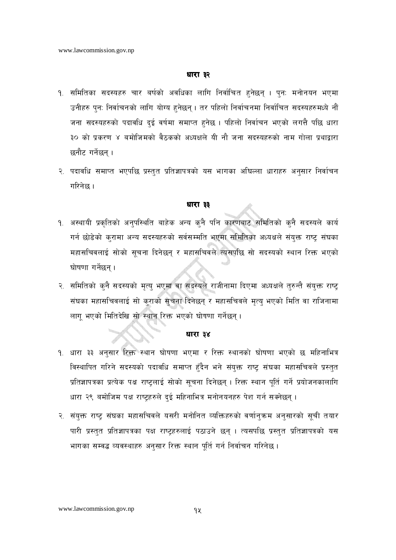- १. समितिका सदस्यहरु चार बर्षको अवधिका लागि निर्वाचित हुनेछन् । पुन: मनोनयन भएमा उनीहरु पुनः निर्वाचनको लागि योग्य हुनेछन् । तर पहिलो निर्वाचनमा निर्वाचित सदस्यहरुमध्ये नौं जना सदस्यहरुको पदावधि दुई वर्षमा समाप्त हुनेछ । पहिलो निर्वाचन भएको लगत्तै पछि धारा ३० को प्रकरण ४ बमोजिमको वैठकको अध्यक्षले यी नौ जना सदस्यहरुको नाम गोला प्रथाद्वारा छनौट गर्नेछन् ।
- २. पदावधि समाप्त भएपछि प्रस्तुत प्रतिज्ञापत्रको यस भागका अघिल्ला धाराहरु अनुसार निर्वाचन गरिनेछ ।

### धारा ३३

- १. अस्थायी प्रकृतिको अनुपरिथति बाहेक अन्य कुनै पनि कारणबाट समितिको कुनै सदस्यले कार्य गर्न छोडेको करामा अन्य सदस्यहरुको सर्वसम्मति भएमा समितिका अध्यक्षले संयक्त राष्ट संघका महासचिवलाई सोको सूचना दिनेछन् र महासचिवले त्यसपछि सो सदस्यको स्थान रिक्त भएको घोषणा गर्नेछन ।
- २. समितिको क्**नै सदस्यको मृत्यु भएमा वा सदस्यले राजीना**मा दिएमा अध्यक्षले तुरुन्तै संयुक्त राष्ट्र संघका महासचिवलाई सो कुराको सूचना दिनेछन् र महासचिवले मृत्यु भएको मिति वा राजिनामा लागू भएको मितिदेखि सो स्थान रिक्त भएको घोषणा गर्नेछन्।

### धारा ३४

- १. धारा ३३ अनुसार रिक्त स्थान घोषणा भएमा र रिक्त स्थानको घोषणा भएको छ महिनाभित्र विस्थापित गरिने सदस्यको पदावधि समाप्त हुँदैन भने संयुक्त राष्ट् संघका महासचिवले प्रस्तुत प्रतिज्ञापत्रका प्रत्येक पक्ष राष्टलाई सोको सचना दिनेछन् । रिक्त स्थान पुर्ति गर्ने प्रयोजनकालागि धारा २९ बमोजिम पक्ष राष्टहरुले दई महिनाभित्र मनोनयनहरु पेश गर्न सक्नेछन् ।
- २. संयुक्त राष्ट्र संघका महासचिवले यसरी मनोनित व्यक्तिहरुको वर्णानुक्रम अनुसारको सूची तयार पारी प्रस्तुत प्रतिज्ञापत्रका पक्ष राष्ट्रहरुलाई पठाउने छन् । त्यसपछि प्रस्तुत प्रतिज्ञापत्रको यस भागका सम्वद्ध व्यवस्थाहरु अनुसार रिक्त स्थान पूर्ति गर्न निर्वाचन गरिनेछ ।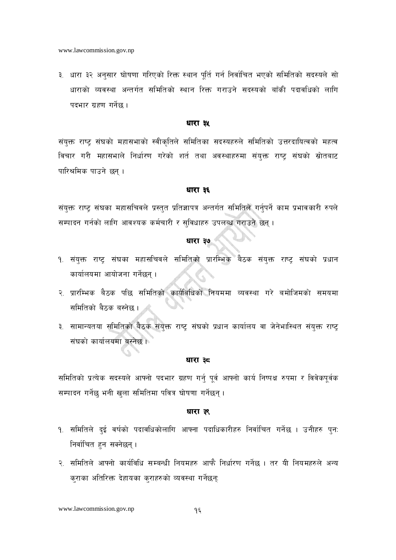३. धारा ३२ अनुसार घोषणा गरिएको रिक्त स्थान पूर्ति गर्न निर्वाचित भएको समितिको सदस्यले सो धाराको व्यवस्था अन्तर्गत समितिको स्थान रिक्त गराउने सदस्यको बाँकी पदावधिको लागि पदभार ग्रहण गर्नेछ।

### धारा ३५

संयक्त राष्ट संघको महासभाको स्वीकृतिले समितिका सदस्यहरुले समितिको उत्तरदायित्वको महत्व विचार गरी महासभाले निर्धारण गरेको शर्त तथा अवस्थाहरुमा संयुक्त राष्ट्र संघको स्रोतबाट पारिश्रमिक पाउने छन् ।

### धारा ३६

संयुक्त राष्ट्र संघका महासचिवले प्रस्तुत प्रतिज्ञापत्र अन्तर्गत समितिले गर्नुपर्ने काम प्रभावकारी रुपले सम्पादन गर्नको लागि आवश्यक कर्मचारी र सुविधाहरु उपलब्ध गराउने छन्।

### धारा ३७

- १. संयुक्त राष्ट्र संघका महासचिवले समितिको प्रारम्भिक बैठक संयुक्त राष्ट्र संघको प्रधान कार्यालयमा आयोजना गर्नेछन ।
- २. प्रारम्भिक बैठक पछि समितिको कार्यविधिको नियममा व्यवस्था गरे बमोजिमको समयमा समितिको बैठक बस्नेछ।
- ३. सामान्यतया समितिको बैठक संयुक्त राष्ट्र संघको प्रधान कार्यालय वा जेनेभास्थित संयुक्त राष्ट्र संघको कार्यालयमा बस्नेछ।

### धारा ३८

समितिको प्रत्येक सदस्यले आफ्नो पदभार ग्रहण गर्नु पूर्व आफ्नो कार्य निष्पक्ष रुपमा र विवेकपूर्वक सम्पादन गर्नेछ भनी खुला समितिमा पवित्र घोषणा गर्नेछन्।

### धारा ३९

- <u>१. समितिले दुई वर्षको पदावधिकोलागि आफ्ना पदाधिकारीहरु निर्वाचित गर्नेछ । उनीहरु पुनः</u> निर्वाचित हन सक्नेछन् ।
- २. समितिले आफ्नो कार्यविधि सम्बन्धी नियमहरु आफै निर्धारण गर्नेछ । तर यी नियमहरुले अन्य कराका अतिरिक्त देहायका कुराहरुको व्यवस्था गर्नेछन्: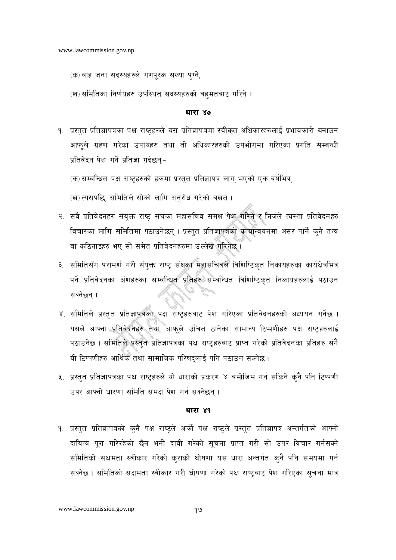- (क) बाह्र जना सदस्यहरुले गणपूरक संख्या पुग्ने,
- (ख) समितिका निर्णयहरु उपस्थित सदस्यहरुको बहुमतबाट गरिने ।

- १. प्रस्तुत प्रतिज्ञापत्रका पक्ष राष्ट्रहरुले यस प्रतिज्ञापत्रमा स्वीकृत अधिकारहरुलाई प्रभावकारी बनाउन आफूले ग्रहण गरेका उपायहरु तथा ती अधिकारहरुको उपभोगमा गरिएका प्रगति सम्बन्धी प्रतिवेदन पेश गर्ने प्रतिज्ञा गर्दछन:-
	- (क) सम्बन्धित पक्ष राष्टहरुको हकमा प्रस्तुत प्रतिज्ञापत्र लागु भएको एक वर्षभित्र,
	- (ख) त्यसपछि, समितिले सोको लागि अनुरोध गरेको बखत ।
- २. सवै प्रतिवेदनहरु संयुक्त राष्ट्र संघका महासचिव समक्ष पेश गरिने र निजले त्यस्ता प्रतिवेदनहरु विचारका लागि समितिमा पठाउनेछन् । प्रस्तुत प्रतिज्ञापत्रको कार्यान्वयनमा असर पार्ने कुनै तत्व वा कठिनाइहरु भए सो समेत प्रतिवेदनहरुमा उल्लेख गरिनेछ ।
- ३. समितिसँग परामर्श गरी संयुक्त राष्ट्र संघका महासचिवले विशिष्टिकृत निकायहरुका कार्यक्षेत्रभित्र पर्ने प्रतिवेदनका अंशहरुका सम्बन्धित प्रतिहरु सम्बन्धित विशिष्टिकृत निकायहरुलाई पठाउन सक्नेछन।
- ४. समितिले प्रस्तुत प्रतिज्ञापत्रका पक्ष राष्ट्रहरुबाट पेश गरिएका प्रतिवेदनहरुको अध्ययन गर्नेछ । यसले आफ्ना प्रतिवेदनहरु तथा आफूले उचित ठानेका सामान्य टिप्पणीहरु पक्ष राष्ट्रहरुलाई पठाउनेछ । समितिले प्रस्तुत प्रतिज्ञापत्रका पक्ष राष्ट्रहरुबाट प्राप्त गरेको प्रतिवेदनका प्रतिहरु संगै यी टिप्पणीहरु आर्थिक तथा सामाजिक परिषदलाई पनि पठाउन सक्नेछ ।
- ५. प्रस्तुत प्रतिज्ञापत्रका पक्ष राष्ट्रहरुले यो धाराको प्रकरण ४ बमोजिम गर्न सकिने कुनै पनि टिप्पणी उपर आफ्नो धारणा समिति समक्ष पेश गर्न सक्नेछन।

### धारा ४१

१. प्रस्तुत प्रतिज्ञापत्रको कुनै पक्ष राष्ट्रले अर्को पक्ष राष्ट्रले प्रस्तुत प्रतिज्ञापत्र अन्तर्गतको आफ्नो दायित्व पूरा गरिरहेको छैन भनी दावी गरेको सूचना प्राप्त गरी सो उपर विचार गर्नसक्ने समितिको सक्षमता स्वीकार गरेको कुराको घोषणा यस धारा अन्तर्गत कुनै पनि समयमा गर्न सक्नेछ । समितिको सक्षमता स्वीकार गरी घोषणा गरेको पक्ष राष्ट्रबाट पेश गरिएका सूचना मात्र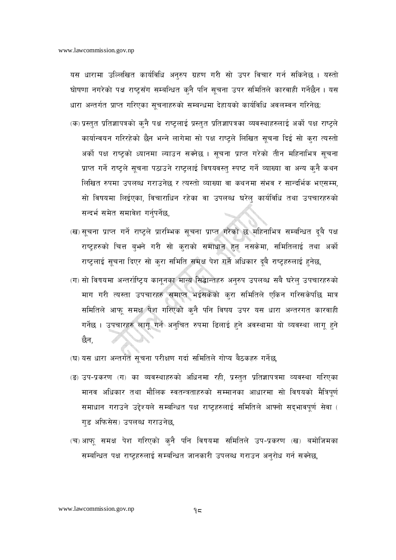यस धारामा उल्लिखित कार्यविधि अनुरुप ग्रहण गरी सो उपर विचार गर्न सकिनेछ । यस्तो घोषणा नगरेको पक्ष राष्ट्रसँग सम्बन्धित कुनै पनि सूचना उपर समितिले कारवाही गर्नेछैन । यस धारा अन्तर्गत प्राप्त गरिएका सूचनाहरुको सम्बन्धमा देहायको कार्यविधि अवलम्वन गरिनेछ:

- (क) प्रस्तुत प्रतिज्ञापत्रको क्**नै पक्ष राष्ट्रलाई प्रस्तुत प्रतिज्ञापत्रका** व्यवस्थाहरुलाई अर्को पक्ष राष्ट्रले कार्यान्वयन गरिरहेको छैन भन्ने लागेमा सो पक्ष राष्ट्रले लिखित सूचना दिई सो कुरा त्यस्तो अर्को पक्ष राष्ट्रको ध्यानमा ल्याउन सक्नेछ । सूचना प्राप्त गरेको तीन महिनाभित्र सूचना प्राप्त गर्ने राष्ट्रले सूचना पठाउने राष्ट्रलाई विषयवस्त् स्पष्ट गर्ने व्याख्या वा अन्य कुनै कथन लिखित रुपमा उपलब्ध गराउनेछ र त्यस्तो व्याख्या वा कथनमा संभव र सान्दर्भिक भएसम्म, सो विषयमा लिईएका, विचाराधिन रहेका वा उपलब्ध घरेल कार्यविधि तथा उपचारहरुको सन्दर्भ समेत समावेश गर्नपर्नेछ.
- (ख) सूचना प्राप्त गर्ने राष्ट्रले प्रारम्भिक सूचना प्राप्त गरेको छ महिनाभित्र सम्बन्धित दूबै पक्ष राष्ट्रहरुको चित्त बुभने गरी सो कुराको समाधान हुन नसकेमा, समितिलाई तथा अर्को राष्ट्रलाई सूचना दिएर सो करा समिति समक्ष पेश गर्ने अधिकार दूबै राष्ट्रहरुलाई हुनेछ,
- (ग) सो विषयमा अन्तर्राष्टिय कानुनका मान्य सिद्धान्तहरु अनुरुप उपलब्ध सबै घरेलु उपचारहरुको माग गरी त्यस्ता उपचारहरु समाप्त भईसकेको क्रा समितिले एकिन गरिसकेपछि मात्र समितिले आफ समक्ष पेश गरिएको कनै पनि विषय उपर यस धारा अन्तरगत कारवाही गर्नेछ । उपचारहरु लागु गर्न अनुचित रुपमा ढिलाई हुने अवस्थामा यो व्यवस्था लागु हुने छैन,
- (घ) यस धारा अन्तर्गत सूचना परीक्षण गर्दा समितिले गोप्य बैठकहरु गर्नेछ,
- (ङ) उप-प्रकरण (ग) का व्यवस्थाहरुको अधिनमा रही, प्रस्तुत प्रतिज्ञापत्रमा व्यवस्था गरिएका मानव अधिकार तथा मौलिक स्वतन्त्रताहरुको सम्मानका आधारमा सो विषयको मैत्रिपूर्ण समाधान गराउने उद्देश्यले सम्बन्धित पक्ष राष्ट्रहरुलाई समितिले आफ्नो सद्भावपूर्ण सेवा ( गड अफिसेस) उपलब्ध गराउनेछ,
- (च) आफ् समक्ष पेश गरिएको कुनै पनि विषयमा समितिले उप-प्रकरण (ख) बमोजिमका सम्बन्धित पक्ष राष्टहरुलाई सम्बन्धित जानकारी उपलब्ध गराउन अनुरोध गर्न सक्नेछ,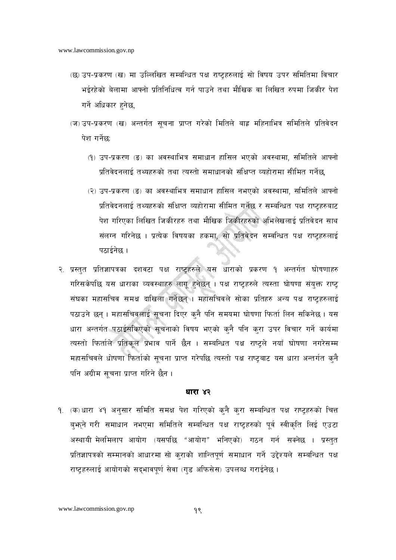- *(छ)* उप-प्रकरण *(ख)* मा उल्लिखित सम्बन्धित पक्ष राष्ट्रहरुलाई सो विषय उपर समितिमा विचार भईरहेको बेलामा आफ्नो प्रतिनिधित्व गर्न पाउने तथा मौखिक वा लिखित रुपमा जिकीर पेश *ug]{ clwsf/ x'g]5,*
- (ज) उप-प्रकरण (ख) अन्तर्गत सूचना प्राप्त गरेको मितिले बाह्र महिनाभित्र समितिले प्रतिवेदन **पेश गर्ने**छ:
	- *-!\_ pk–k|s/0f -ª\_ sf cj:yfleq ;dfwfg xfl;n ePsf] cj:yfdf, ;ldltn] cfˆgf] k|ltj]bgnfO{ tYox?sf] tyf To:tf] ;dfwfgsf] ;+lIfKt Joxf]/fdf ;Lldt ug]{5,*
	- *-@\_ pk–k|s/0f -ª\_ sf cj:yfleq ;dfwfg xfl;n gePsf] cj:yfdf, ;ldltn] cfˆgf] k|ltj]bgnfO{ tYox?sf] ;+lIfKt Joxf]/fdf ;Lldt ug]{5 / ;DalGwt kIf /fi6«x?af6*  पेश गरिएका लिखित जिकीरहरु तथा मौखिक जिकीरहरुको अभिलेखलाई प्रतिवेदन साथ संलग्न गरिनेछ । प्रत्येक विषयका हकमा, सो प्रतिवेदन सम्वन्धित पक्ष राष्ट्**हरुलाई** पठाईनेछ ।
- <u>२. प्रस्तुत प्रतिज्ञापत्रका दशवटा पक्ष राष्ट्रहरुले यस धाराको प्रकरण १ अन्तर्गत घोषणाहरु</u> गरिसकेपछि यस धाराका व्यवस्थाहरु लागू हुनेछन् । पक्ष राष्ट्रहरुले त्यस्ता घोषणा संयुक्त राष्ट्र *;+3sf dxf;lrj ;dIf bflvnf ug]{5g\ . dxf;lrjn] ;f]sf k|ltx? cGo kIf /fi6«x?nfO{*  पठाउने छन् । महासचिवलाई सूचना दिएर क्**नै पनि समयमा घोषणा फिर्ता लिन सकिनेछ** । यस धारा अन्तर्गत पठाईसकिएको सूचनाको विषय भएको कुनै पनि कुरा उपर विचार गर्ने कार्यमा *त्यस्तो फिर्ताले प्रतिकूल प्र*भाव पार्ने छैन । सम्बन्धित पक्ष राष्ट्रले नयाँ घोषणा नगरेसम्म महासचिवले धोषणा फिर्ताको सूचना प्राप्त गरेपछि त्यस्तो पक्ष राष्ट्रबाट यस धारा अन्तर्गत क्**नै** पनि अग्रीम सूचना प्राप्त गरिने छैन ।

*!= -s\_ wf/f \$! cg';f/ ;ldlt ;dIf k]z ul/Psf] s'g} s'/f ;DalGwt kIf /fi6«x?sf] lrQ*  बुभूने गरी समाधान नभएमा समितिले सम्बन्धित पक्ष राष्ट्*हरुको पूर्व स्वीकृ*ति लिई एउटा अस्थायी मेलमिलाप आयोग (यसपछि "आयोग" भनिएको) गठन गर्न सक्नेछ । प्रस्तुत प्रतिज्ञापत्रको सम्मानको आधारमा सो कराको शान्तिपर्ण समाधान गर्ने उद्देश्यले सम्बन्धित पक्ष *रा*ष्ट्रहरुलाई आयोगको सद्भावपूर्ण सेवा (गुड अफिसेस) उपलब्ध गराईनेछ।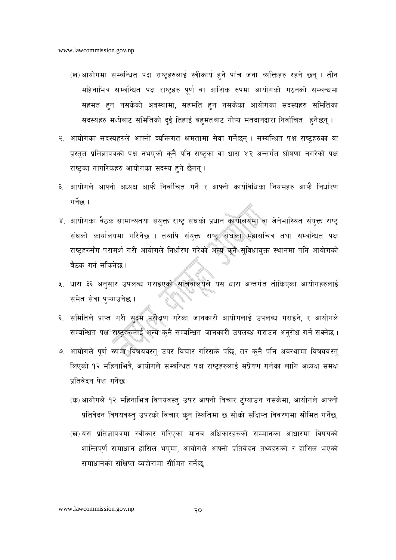- (ख) आयोगमा सम्बन्धित पक्ष राष्ट्रहरुलाई स्वीकार्य हुने पाँच जना व्यक्तिहरु रहने छन् । तीन महिनाभित्र सम्बन्धित पक्ष राष्ट्रहरु पूर्ण वा आंशिक रुपमा आयोगको गठनको सम्बन्धमा सहमत हुन नसकेको अवस्थामा, सहमति हुन नसकेका आयोगका सदस्यहरु समितिका सदस्यहरु मध्येबाट समितिको दई तिहाई बहमतबाट गोप्य मतदानद्वारा निर्वाचित हुनेछन् ।
- २. आयोगका सदस्यहरुले आफ्नो व्यक्तिगत क्षमतामा सेवा गर्नेछन् । सम्बन्धित पक्ष राष्ट्रहरुका वा प्रस्तुत प्रतिज्ञापत्रको पक्ष नभएको कुनै पनि राष्ट्रका वा धारा ४२ अन्तर्गत घोषणा नगरेको पक्ष राष्ट्रका नागरिकहरु आयोगका सदस्य हुने छैनन् ।
- ३. आयोगले आफ्नो अध्यक्ष आफै निर्वाचित गर्ने र आफ्नो कार्यविधिका नियमहरु आफै निर्धारण  $\pi$ र्नेछ ।
- ४. आयोगका वैठक सामान्यतया संयुक्त राष्ट्र संघको प्रधान कार्यालयमा वा जेनेभास्थित संयुक्त राष्ट् संघको कार्यालयमा गरिनेछ । तथापि संयुक्त राष्ट्र संघका महासचिव तथा सम्बन्धित पक्ष राष्ट्रहरुसँग परामर्श गरी आयोगले निर्धारण गरेको अन्य कुनै सुविधायुक्त स्थानमा पनि आयोगको बैठक गर्न सकिनेछ ।
- ५. धारा ३६ अनुसार उपलब्ध गराइएको सचिवालयले यस धारा अन्तर्गत तोकिएका आयोगहरुलाई समेत सेवा पुऱ्याउनेछ ।
- ६. समितिले प्राप्त गरी सक्ष्म परीक्षण गरेका जानकारी आयोगलाई उपलब्ध गराइने, र आयोगले सम्बन्धित पक्ष राष्ट्रहरुलाई अन्य क्नै सम्बन्धित जानकारी उपलब्ध गराउन अनुरोध गर्न सक्नेछ।
- ७. आयोगले पूर्ण रुपमा विषयवस्तु उपर विचार गरिसके पछि, तर कुनै पनि अवस्थामा विषयवस्तु लिएको १२ महिनाभित्रै, आयोगले सम्बन्धित पक्ष राष्ट्रहरुलाई संप्रेषण गर्नका लागि अध्यक्ष समक्ष प्रतिवेदन पेश गर्नेछ:
	- (क) आयोगले १२ महिनाभित्र विषयवस्त् उपर आफ्नो विचार टुंग्याउन नसकेमा, आयोगले आफ्नो प्रतिवेदन विषयवस्त् उपरको विचार कुन स्थितिमा छ सोको संक्षिप्त विवरणमा सीमित गर्नेछ,
	- (ख)यस प्रतिज्ञापत्रमा स्वीकार गरिएका मानव अधिकारहरुको सम्मानका आधारमा विषयको शान्तिपूर्ण समाधान हासिल भएमा, आयोगले आफ्नो प्रतिवेदन तथ्यहरुको र हासिल भएको समाधानको संक्षिप्त व्यहोरामा सीमित गर्नेछ.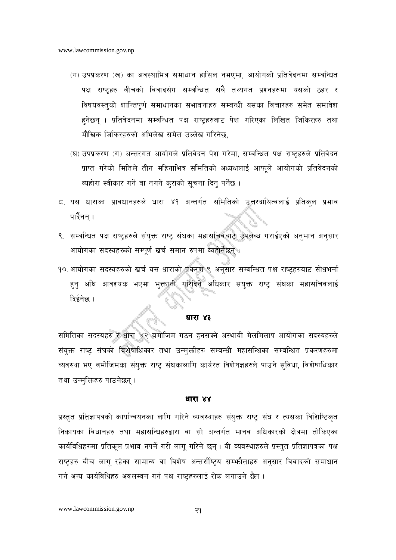- (ग) उपप्रकरण (ख) का अवस्थाभित्र समाधान हासिल नभएमा, आयोगको प्रतिवेदनमा सम्बन्धित पक्ष राष्ट्रहरु बीचको विवादसँग सम्बन्धित सबै तथ्यगत प्रश्नहरुमा यसको ठहर र विषयवस्तुको शान्तिपूर्ण समाधानका संभावनाहरु सम्बन्धी यसका विचारहरु समेत समावेश हनेछन । प्रतिवेदनमा सम्वन्धित पक्ष राष्टहरुबाट पेश गरिएका लिखित जिकिरहरु तथा मौखिक जिकिरहरुको अभिलेख समेत उल्लेख गरिनेछ,
- (घ) उपप्रकरण (ग) अन्तरगत आयोगले प्रतिवेदन पेश गरेमा, सम्वन्धित पक्ष राष्ट्रहरुले प्रतिवेदन प्राप्त गरेको मितिले तीन महिनाभित्र समितिको अध्यक्षलाई आफुले आयोगको प्रतिवेदनको व्यहोरा स्वीकार गर्ने वा नगर्ने कुराको सूचना दिन् पर्नेछ ।
- 5. यस धाराका प्रावधानहरुले धारा ४१ अन्तर्गत समितिको उत्तरदायित्वलाई प्रतिकुल प्रभाव पार्दैनन ।
- ९. सम्बन्धित पक्ष राष्ट्रहरुले संयुक्त राष्ट् संघका महासचिवबाट उपलब्ध गराईएको अनुमान अनुसार आयोगका सदस्यहरुको सम्पूर्ण खर्च समान रुपमा व्यहोर्नेछन्।
- १० आयोगका सदस्यहरुको खर्च यस धाराको प्रकरण ९ अनुसार सम्बन्धित पक्ष राष्ट्रहरुबाट सोधभर्ना हुनु अघि आवश्यक भएमा भुक्तानी गरिदिने अधिकार संयुक्त राष्ट्र संघका महासचिवलाई दिईनेछ ।

समितिका सदस्यहरु र धारा ४२ बमोजिम गठन हुनसक्ने अस्थायी मेलमिलाप आयोगका सदस्यहरुले संयुक्त राष्ट्र संघको विशेषाधिकार तथा उन्मुक्तीहरु सम्बन्धी महासन्धिका सम्बन्धित प्रकरणहरुमा व्यवस्था भए बमोजिमका संयुक्त राष्ट्र संघकालागि कार्यरत विशेषज्ञहरुले पाउने सुविधा, विशेषाधिकार तथा उन्मुक्तिहरु पाउनेछन् ।

### धारा ४४

प्रस्तुत प्रतिज्ञापत्रको कार्यान्वयनका लागि गरिने व्यवस्थाहरु संयुक्त राष्ट्र संघ र त्यसका विशिष्टिकृत निकायका विधानहरु तथा महासन्धिहरुद्वारा वा सो अन्तर्गत मानव अधिकारको क्षेत्रमा तोकिएका कार्यविधिहरुमा प्रतिकुल प्रभाव नपर्ने गरी लागु गरिने छन् । यी व्यवस्थाहरुले प्रस्तुत प्रतिज्ञापत्रका पक्ष राष्ट्रहरु बीच लागु रहेका सामान्य वा विशेष अन्तर्राष्ट्रिय सम्भनैताहरु अनुसार विवादको समाधान गर्न अन्य कार्यविधिहरु अवलम्बन गर्न पक्ष राष्टहरुलाई रोक लगाउने छैन ।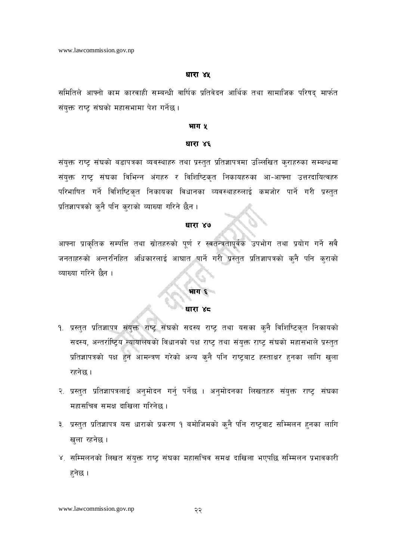समितिले आफ्नो काम कारवाही सम्बन्धी वार्षिक प्रतिवेदन आर्थिक तथा सामाजिक परिषद् मार्फत संयुक्त राष्ट्र संघको महासभामा पेश गर्नेछ।

### भाग ५

### धारा ४६

संयुक्त राष्ट्र संघको बडापत्रका व्यवस्थाहरु तथा प्रस्तुत प्रतिज्ञापत्रमा उल्लिखित कुराहरुका सम्बन्धमा संयुक्त राष्ट्र संघका विभिन्न अंगहरु र विशिष्टिकृत निकायहरुका आ-आफ्ना उत्तरदायित्वहरु परिभाषित गर्ने विशिष्टिकृत निकायका विधानका व्यवस्थाहरुलाई कमजोर पार्ने गरी प्रस्तुत प्रतिज्ञापत्रको कुनै पनि कुराको व्याख्या गरिने छैन ।

### धारा ४७

आफ्ना प्राकृतिक सम्पत्ति तथा स्रोतहरुको पूर्ण र स्वतन्त्रतापूर्वक उपभोग तथा प्रयोग गर्ने सवै जनताहरुको अन्तरनिहित अधिकारलाई आघात पार्ने गरी प्रस्तुत प्रतिज्ञापत्रको क्नै पनि कुराको व्याख्या गरिने छैन।

### धारा ४०

भाग ६

- १. प्रस्तुत प्रतिज्ञापत्र संयुक्त राष्ट्र संघको सदस्य राष्ट्र तथा यसका कुनै विशिष्टिकृत निकायको सदस्य, अन्तर्राष्ट्रिय न्यायालयको विधानको पक्ष राष्ट्र तथा संयुक्त राष्ट्र संघको महासभाले प्रस्तुत प्रतिज्ञापत्रको पक्ष हुन आमन्त्रण गरेको अन्य कुनै पनि राष्ट्रबाट हस्ताक्षर हुनका लागि खुला रहनेछ ।
- २. प्रस्तुत प्रतिज्ञापत्रलाई अनुमोदन गर्नु पर्नेछ । अनुमोदनका लिखतहरु संयुक्त राष्ट्र संघका महासचिव समक्ष दाखिला गरिनेछ ।
- ३. प्रस्तुत प्रतिज्ञापत्र यस धाराको प्रकरण १ बमोजिमको कुनै पनि राष्ट्रवाट सम्मिलन हुनका लागि खला रहनेछ।
- ४. सम्मिलनको लिखत संयुक्त राष्ट्र संघका महासचिव समक्ष दाखिला भएपछि सम्मिलन प्रभावकारी हुनेछ ।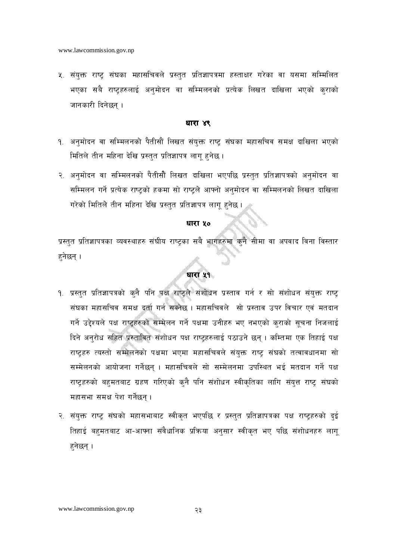५. संयुक्त राष्ट्र संघका महासचिवले प्रस्तुत प्रतिज्ञापत्रमा हस्ताक्षर गरेका वा यसमा सम्मिलित भएका सबै राष्ट्रहरुलाई अनुमोदन वा सम्मिलनको प्रत्येक लिखत दाखिला भएको कुराको जानकारी दिनेछन ।

### धारा ४९

- १. अनुमोदन वा सम्मिलनको पैतीसौं लिखत संयुक्त राष्ट संघका महासचिव समक्ष दाखिला भएको मितिले तीन महिना देखि प्रस्तुत प्रतिज्ञापत्र लाग हुनेछ ।
- २. अनमोदन वा सम्मिलनको पैतीसौं लिखत दाखिला भएपछि प्रस्तुत प्रतिज्ञापत्रको अनुमोदन वा सम्मिलन गर्ने प्रत्येक राष्ट्रको हकमा सो राष्ट्रले आफ्नो अनुमोदन वा सम्मिलनको लिखत दाखिला गरेको मितिले तीन महिना देखि प्रस्तुत प्रतिज्ञापत्र लागू हुनेछ ।

### धारा ५०

प्रस्तुत प्रतिज्ञापत्रका व्यवस्थाहरु संघीय राष्ट्रका सबै भागहरुमा कुनै सीमा वा अपवाद विना विस्तार हुनेछन् ।

### धारा ५१

- <u>१. प्रस्तुत प्रतिज्ञापत्रको क</u>ुनै पनि पक्ष राष्ट्रले संशोधन प्रस्ताव गर्न र सो संशोधन संयुक्त राष्ट्र संघका महासचिव समक्ष दुर्ता गर्न सक्नेछ । महासचिवले सो प्रस्ताव उपर विचार एवं मतदान गर्ने उद्देश्यले पक्ष राष्ट्रहरुको सम्मेलन गर्ने पक्षमा उनीहरु भए नभएको कुराको सूचना निजलाई दिने अनुरोध सहित प्रस्तावित संशोधन पक्ष राष्ट्रहरुलाई पठाउने छन्। कम्तिमा एक तिहाई पक्ष राष्टहरु त्यस्तो सम्मेलनको पक्षमा भएमा महासचिवले संयुक्त राष्ट संघको तत्वावधानमा सो सम्मेलनको आयोजना गर्नेछन । महासचिवले सो सम्मेलनमा उपस्थित भई मतदान गर्ने पक्ष राष्टहरुको बहुमतबाट ग्रहण गरिएको कुनै पनि संशोधन स्वीकृतिका लागि संयत्त राष्ट संघको महासभा समक्ष पेश गर्नेछन।
- २. संयुक्त राष्ट्र संघको महासभाबाट स्वीकृत भएपछि र प्रस्तुत प्रतिज्ञापत्रका पक्ष राष्ट्रहरुको दुई तिहाई बहमतबाट आ-आफ्ना संवैधानिक प्रक्रिया अनुसार स्वीकृत भए पछि संशोधनहरु लागू हुनेछन् ।